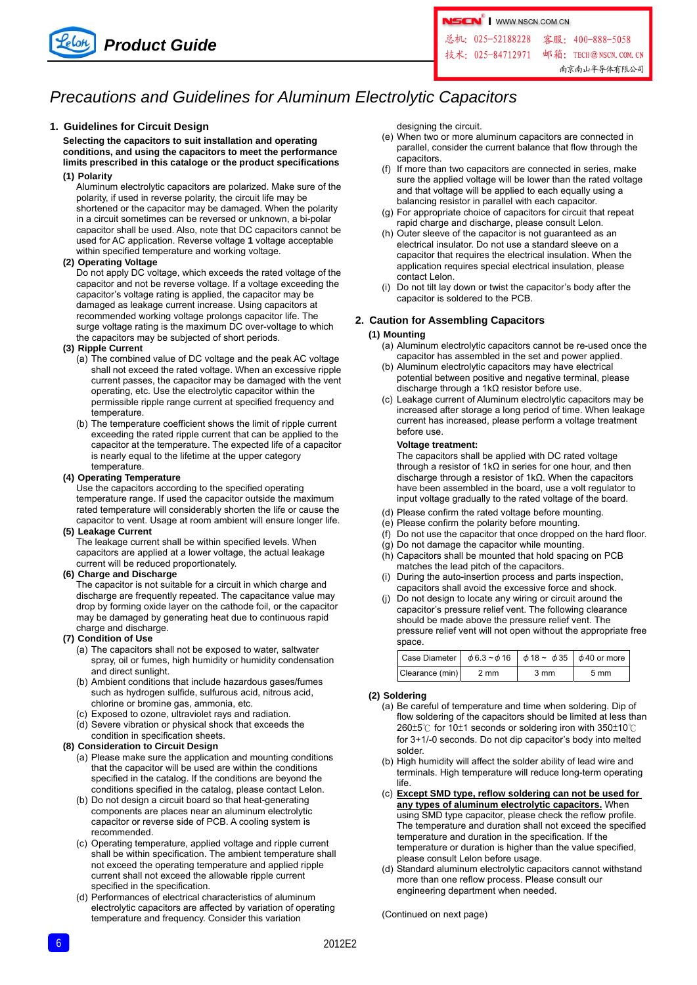

**SCN** WWW.NSCN.COM.CN

总机: 025-52188228 客服: 400-888-5058 技术: 025-84712971 邮箱: TECH@NSCN. COM. CN 南京南山半导体有限公司

# *Precautions and Guidelines for Aluminum Electrolytic Capacitors*

# **1. Guidelines for Circuit Design**

**Selecting the capacitors to suit installation and operating conditions, and using the capacitors to meet the performance limits prescribed in this cataloge or the product specifications** 

#### **(1) Polarity**

Aluminum electrolytic capacitors are polarized. Make sure of the polarity, if used in reverse polarity, the circuit life may be shortened or the capacitor may be damaged. When the polarity in a circuit sometimes can be reversed or unknown, a bi-polar capacitor shall be used. Also, note that DC capacitors cannot be used for AC application. Reverse voltage **1** voltage acceptable within specified temperature and working voltage.

#### **(2) Operating Voltage**

Do not apply DC voltage, which exceeds the rated voltage of the capacitor and not be reverse voltage. If a voltage exceeding the capacitor's voltage rating is applied, the capacitor may be damaged as leakage current increase. Using capacitors at recommended working voltage prolongs capacitor life. The surge voltage rating is the maximum DC over-voltage to which the capacitors may be subjected of short periods.

#### **(3) Ripple Current**

- (a) The combined value of DC voltage and the peak AC voltage shall not exceed the rated voltage. When an excessive ripple current passes, the capacitor may be damaged with the vent operating, etc. Use the electrolytic capacitor within the permissible ripple range current at specified frequency and temperature.
- (b) The temperature coefficient shows the limit of ripple current exceeding the rated ripple current that can be applied to the capacitor at the temperature. The expected life of a capacitor is nearly equal to the lifetime at the upper category temperature.

#### **(4) Operating Temperature**

Use the capacitors according to the specified operating temperature range. If used the capacitor outside the maximum rated temperature will considerably shorten the life or cause the capacitor to vent. Usage at room ambient will ensure longer life.

# **(5) Leakage Current**

The leakage current shall be within specified levels. When capacitors are applied at a lower voltage, the actual leakage current will be reduced proportionately.

#### **(6) Charge and Discharge**

The capacitor is not suitable for a circuit in which charge and discharge are frequently repeated. The capacitance value may drop by forming oxide layer on the cathode foil, or the capacitor may be damaged by generating heat due to continuous rapid charge and discharge.

#### **(7) Condition of Use**

- (a) The capacitors shall not be exposed to water, saltwater spray, oil or fumes, high humidity or humidity condensation and direct sunlight.
- (b) Ambient conditions that include hazardous gases/fumes such as hydrogen sulfide, sulfurous acid, nitrous acid, chlorine or bromine gas, ammonia, etc.
- (c) Exposed to ozone, ultraviolet rays and radiation.
- (d) Severe vibration or physical shock that exceeds the condition in specification sheets.

#### **(8) Consideration to Circuit Design**

- (a) Please make sure the application and mounting conditions that the capacitor will be used are within the conditions specified in the catalog. If the conditions are beyond the conditions specified in the catalog, please contact Lelon.
- (b) Do not design a circuit board so that heat-generating components are places near an aluminum electrolytic capacitor or reverse side of PCB. A cooling system is recommended.
- (c) Operating temperature, applied voltage and ripple current shall be within specification. The ambient temperature shall not exceed the operating temperature and applied ripple current shall not exceed the allowable ripple current specified in the specification.
- (d) Performances of electrical characteristics of aluminum electrolytic capacitors are affected by variation of operating temperature and frequency. Consider this variation

designing the circuit.

- (e) When two or more aluminum capacitors are connected in parallel, consider the current balance that flow through the capacitors.
- (f) If more than two capacitors are connected in series, make sure the applied voltage will be lower than the rated voltage and that voltage will be applied to each equally using a balancing resistor in parallel with each capacitor.
- (g) For appropriate choice of capacitors for circuit that repeat rapid charge and discharge, please consult Lelon.
- (h) Outer sleeve of the capacitor is not guaranteed as an electrical insulator. Do not use a standard sleeve on a capacitor that requires the electrical insulation. When the application requires special electrical insulation, please contact Lelon.
- Do not tilt lay down or twist the capacitor's body after the capacitor is soldered to the PCB.

# **2. Caution for Assembling Capacitors**

#### **(1) Mounting**

- (a) Aluminum electrolytic capacitors cannot be re-used once the capacitor has assembled in the set and power applied.
- (b) Aluminum electrolytic capacitors may have electrical potential between positive and negative terminal, please discharge through a 1kΩ resistor before use.
- (c) Leakage current of Aluminum electrolytic capacitors may be increased after storage a long period of time. When leakage current has increased, please perform a voltage treatment before use.

#### **Voltage treatment:**

The capacitors shall be applied with DC rated voltage through a resistor of 1kΩ in series for one hour, and then discharge through a resistor of 1kΩ. When the capacitors have been assembled in the board, use a volt regulator to input voltage gradually to the rated voltage of the board.

- (d) Please confirm the rated voltage before mounting.
- (e) Please confirm the polarity before mounting.
- (f) Do not use the capacitor that once dropped on the hard floor.
- (g) Do not damage the capacitor while mounting.
- (h) Capacitors shall be mounted that hold spacing on PCB matches the lead pitch of the capacitors.
- (i) During the auto-insertion process and parts inspection, capacitors shall avoid the excessive force and shock.
- (j) Do not design to locate any wiring or circuit around the capacitor's pressure relief vent. The following clearance should be made above the pressure relief vent. The pressure relief vent will not open without the appropriate free space.

| Case Diameter $\begin{vmatrix} \phi & 6.3 \\ \phi & 16 \end{vmatrix}$ $\phi$ 18 ~ $\phi$ 35 $\phi$ 40 or more |      |                |                |
|---------------------------------------------------------------------------------------------------------------|------|----------------|----------------|
| Clearance (min)                                                                                               | 2 mm | $3 \text{ mm}$ | $5 \text{ mm}$ |

# **(2) Soldering**

- (a) Be careful of temperature and time when soldering. Dip of flow soldering of the capacitors should be limited at less than 260±5℃ for 10±1 seconds or soldering iron with 350±10℃ for 3+1/-0 seconds. Do not dip capacitor's body into melted solder.
- (b) High humidity will affect the solder ability of lead wire and terminals. High temperature will reduce long-term operating life.
- (c) **Except SMD type, reflow soldering can not be used for any types of aluminum electrolytic capacitors.** When using SMD type capacitor, please check the reflow profile. The temperature and duration shall not exceed the specified temperature and duration in the specification. If the temperature or duration is higher than the value specified, please consult Lelon before usage.
- (d) Standard aluminum electrolytic capacitors cannot withstand more than one reflow process. Please consult our engineering department when needed.

(Continued on next page)